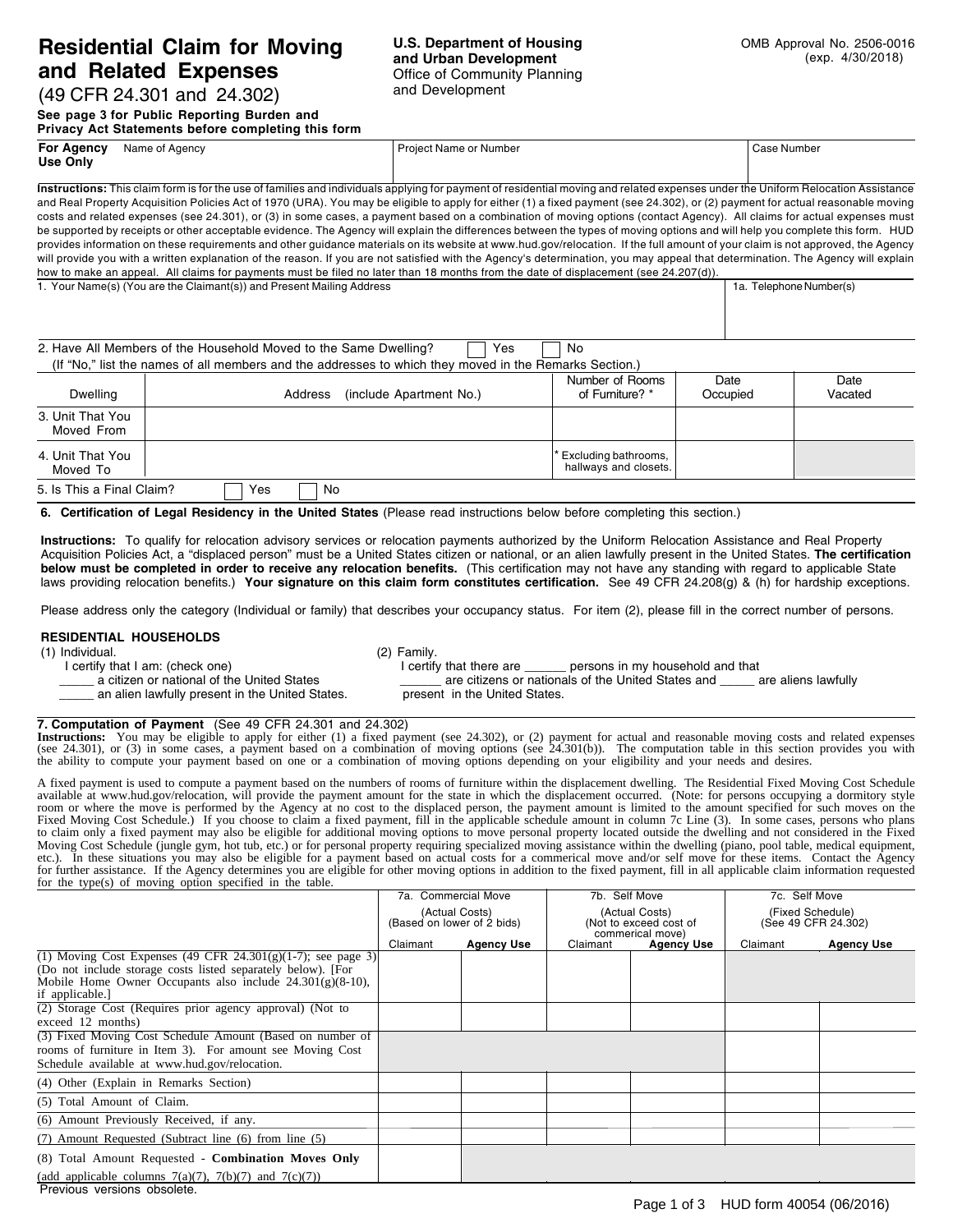# **Residential Claim for Moving and Related Expenses**

### **U.S. Department of Housing and Urban Development** Office of Community Planning and Development

(49 CFR 24.301 and 24.302) **See page 3 for Public Reporting Burden and**

**Privacy Act Statements before completing this form**

| <b>FIIVACY ACT STATEMENTS DETUIT COMPRETING THIS TOMM</b>                                                                                                                        |                |                                                                                                                                                                                |             |  |  |  |
|----------------------------------------------------------------------------------------------------------------------------------------------------------------------------------|----------------|--------------------------------------------------------------------------------------------------------------------------------------------------------------------------------|-------------|--|--|--|
| <b>For Agency</b>                                                                                                                                                                | Name of Agency | <b>Project Name or Number</b>                                                                                                                                                  | Case Number |  |  |  |
| Use Only                                                                                                                                                                         |                |                                                                                                                                                                                |             |  |  |  |
| Instructions: This claim form is for the use of families and individuals applying for payment of residential moving and related expenses under the Uniform Relocation Assistance |                |                                                                                                                                                                                |             |  |  |  |
| and Real Property Acquisition Policies Act of 1970 (URA). You may be eligible to apply for either (1) a fixed payment (see 24.302), or (2) payment for actual reasonable moving  |                |                                                                                                                                                                                |             |  |  |  |
| costs and related expenses (see 24.301), or (3) in some cases, a payment based on a combination of moving options (contact Agency). All claims for actual expenses must          |                |                                                                                                                                                                                |             |  |  |  |
| be supported by receipts or other acceptable evidence. The Agency will explain the differences between the types of moving options and will help you complete this form. HUD     |                |                                                                                                                                                                                |             |  |  |  |
|                                                                                                                                                                                  |                | provides information on these requirements and other guidance materials on its website at www.hud.gov/relocation. If the full amount of your claim is not approved, the Agency |             |  |  |  |

will provide you with a written explanation of the reason. If you are not satisfied with the Agency's determination, you may appeal that determination. The Agency will explain

1. Your Name(s) (You are the Claimant(s)) and Present Mailing Address 1a. Telephone Number(s) 1a. Telephone Number(s)

(If "No," list the names of all members and the addresses to which they moved in the Remarks Section.)

2. Have All Members of the Household Moved to the Same Dwelling?  $\Box$  Yes  $\Box$  No

| Dwelling                       | (include Apartment No.)<br>Address | Number of Rooms<br>of Furniture? *              | Date<br>Occupied | Date<br>Vacated |
|--------------------------------|------------------------------------|-------------------------------------------------|------------------|-----------------|
| 3. Unit That You<br>Moved From |                                    |                                                 |                  |                 |
| 4. Unit That You<br>Moved To   |                                    | * Excluding bathrooms,<br>hallways and closets. |                  |                 |
| 5. Is This a Final Claim?      | Yes<br>No                          |                                                 |                  |                 |

**6. Certification of Legal Residency in the United States** (Please read instructions below before completing this section.)

how to make an appeal. All claims for payments must be filed no later than 18 months from the date of displacement (see 24.207(d)).

**Instructions:** To qualify for relocation advisory services or relocation payments authorized by the Uniform Relocation Assistance and Real Property Acquisition Policies Act, a "displaced person" must be a United States citizen or national, or an alien lawfully present in the United States. **The certification below must be completed in order to receive any relocation benefits.** (This certification may not have any standing with regard to applicable State laws providing relocation benefits.) **Your signature on this claim form constitutes certification.** See 49 CFR 24.208(g) & (h) for hardship exceptions.

Please address only the category (Individual or family) that describes your occupancy status. For item (2), please fill in the correct number of persons.

#### **RESIDENTIAL HOUSEHOLDS**

(1) Individual. (2) Family.<br>
I certify that I am: (check one) (2) Family. I certify that and check one)

If that I am: (check one) I certify that there are \_\_\_\_\_\_ persons in my household and that a citizen or national of the United States and are citizens or nationals of the United States and a \_\_\_\_\_\_ are citizens or nationals of the United States and \_\_\_\_\_ are aliens lawfully present in the United States.

## **7. Computation of Payment** (See 49 CFR 24.301 and 24.302) an alien lawfully present in the United States.

Instructions: You may be eligible to apply for either (1) a fixed payment (see 24.302), or (2) payment for actual and reasonable moving costs and related expenses (see 24.301), or (3) in some cases, a payment based on a co the ability to compute your payment based on one or a combination of moving options depending on your eligibility and your needs and desires.

A fixed payment is used to compute a payment based on the numbers of rooms of furniture within the displacement dwelling. The Residential Fixed Moving Cost Schedule<br>available at www.hud.gov/relocation, will provide the pay room or where the move is performed by the Agency at no cost to the displaced person, the payment amount is limited to the amount specified for such moves on the Fixed Moving Cost Schedule.) If you choose to claim a fixed payment, fill in the applicable schedule amount in column 7c Line (3). In some cases, persons who plans to claim only a fixed payment may also be eligible for additional moving options to move personal property located outside the dwelling and not considered in the Fixed Moving Cost Schedule (jungle gym, hot tub, etc.) or for personal property requiring specialized moving assistance within the dwelling (piano, pool table, medical equipment, etc.). In these situations you may also be eligible for a payment based on actual costs for a commerical move and/or self move for these items. Contact the Agency for further assistance. If the Agency determines you are eligible for other moving options in addition to the fixed payment, fill in all applicable claim information requested for the type(s) of moving option specified in the table.

|                                                                                | 7a. Commercial Move                          |                   | 7b. Self Move                                                |                   | 7c. Self Move                           |                   |
|--------------------------------------------------------------------------------|----------------------------------------------|-------------------|--------------------------------------------------------------|-------------------|-----------------------------------------|-------------------|
|                                                                                | (Actual Costs)<br>(Based on lower of 2 bids) |                   | (Actual Costs)<br>(Not to exceed cost of<br>commerical move) |                   | (Fixed Schedule)<br>(See 49 CFR 24.302) |                   |
|                                                                                | Claimant                                     | <b>Agency Use</b> | Claimant                                                     | <b>Agency Use</b> | Claimant                                | <b>Agency Use</b> |
| (1) Moving Cost Expenses (49 CFR $24.301(g)(1-7)$ ; see page 3)                |                                              |                   |                                                              |                   |                                         |                   |
| (Do not include storage costs listed separately below). [For                   |                                              |                   |                                                              |                   |                                         |                   |
| Mobile Home Owner Occupants also include $24.301(g)(8-10)$ ,<br>if applicable. |                                              |                   |                                                              |                   |                                         |                   |
| (2) Storage Cost (Requires prior agency approval) (Not to                      |                                              |                   |                                                              |                   |                                         |                   |
| exceed 12 months)                                                              |                                              |                   |                                                              |                   |                                         |                   |
| (3) Fixed Moving Cost Schedule Amount (Based on number of                      |                                              |                   |                                                              |                   |                                         |                   |
| rooms of furniture in Item 3). For amount see Moving Cost                      |                                              |                   |                                                              |                   |                                         |                   |
| Schedule available at www.hud.gov/relocation.                                  |                                              |                   |                                                              |                   |                                         |                   |
| (4) Other (Explain in Remarks Section)                                         |                                              |                   |                                                              |                   |                                         |                   |
| (5) Total Amount of Claim.                                                     |                                              |                   |                                                              |                   |                                         |                   |
| (6) Amount Previously Received, if any.                                        |                                              |                   |                                                              |                   |                                         |                   |
| (7) Amount Requested (Subtract line (6) from line (5)                          |                                              |                   |                                                              |                   |                                         |                   |
| (8) Total Amount Requested - Combination Moves Only                            |                                              |                   |                                                              |                   |                                         |                   |
| (add applicable columns $7(a)(7)$ , $7(b)(7)$ and $7(c)(7)$ )                  |                                              |                   |                                                              |                   |                                         |                   |
| Previous versions obsolete.                                                    |                                              |                   |                                                              |                   |                                         |                   |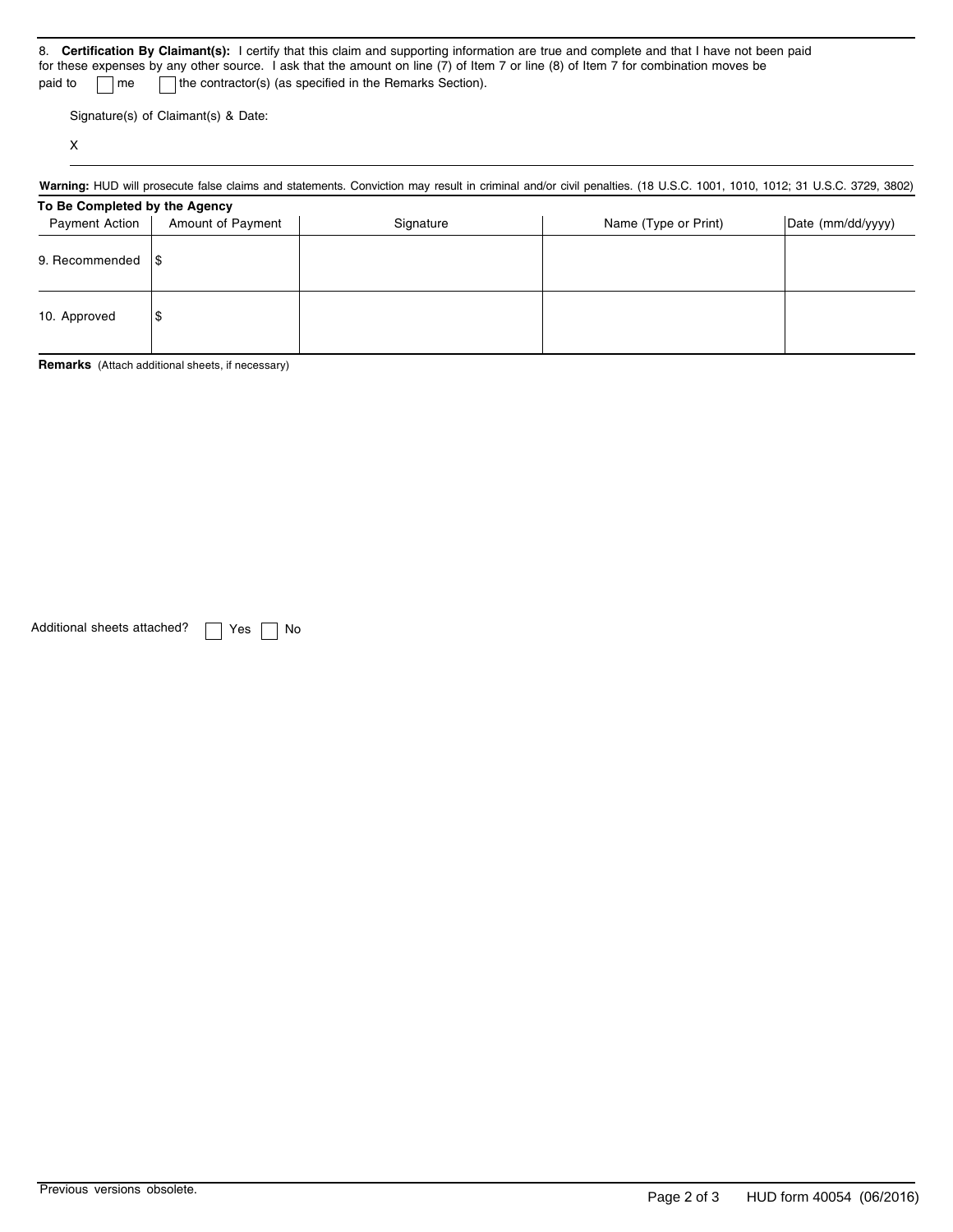|                                                                                                                                    | 8. Certification By Claimant(s): I certify that this claim and supporting information are true and complete and that I have not been paid |  |  |  |
|------------------------------------------------------------------------------------------------------------------------------------|-------------------------------------------------------------------------------------------------------------------------------------------|--|--|--|
| for these expenses by any other source. I ask that the amount on line (7) of Item 7 or line (8) of Item 7 for combination moves be |                                                                                                                                           |  |  |  |
| the contractor(s) (as specified in the Remarks Section).<br>paid to<br>$\vert$ me                                                  |                                                                                                                                           |  |  |  |

Signature(s) of Claimant(s) & Date:

X

Warning: HUD will prosecute false claims and statements. Conviction may result in criminal and/or civil penalties. (18 U.S.C. 1001, 1010, 1012; 31 U.S.C. 3729, 3802)

### **To Be Completed by the Agency**

| <b>Payment Action</b> | Amount of Payment | Signature | Name (Type or Print) | Date (mm/dd/yyyy) |
|-----------------------|-------------------|-----------|----------------------|-------------------|
| 9. Recommended        | 1\$               |           |                      |                   |
| 10. Approved          | \$                |           |                      |                   |

**Remarks** (Attach additional sheets, if necessary)

Additional sheets attached?  $\Box$  Yes  $\Box$  No